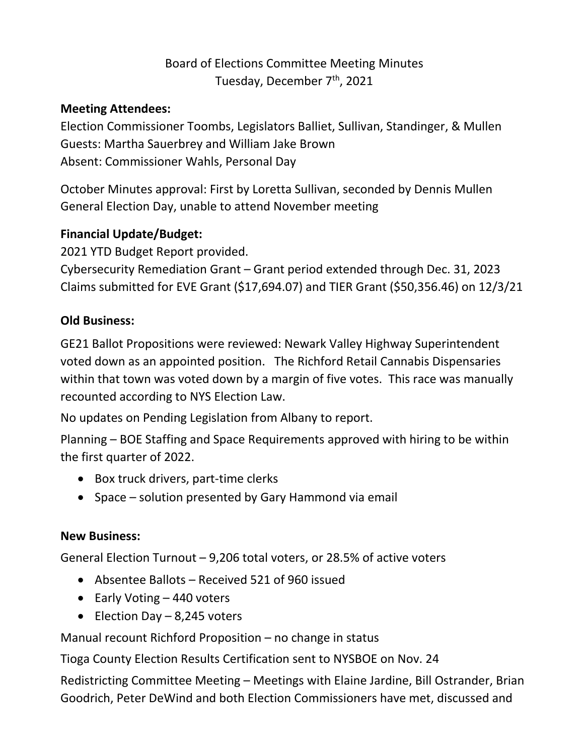# Board of Elections Committee Meeting Minutes Tuesday, December 7<sup>th</sup>, 2021

#### **Meeting Attendees:**

Election Commissioner Toombs, Legislators Balliet, Sullivan, Standinger, & Mullen Guests: Martha Sauerbrey and William Jake Brown Absent: Commissioner Wahls, Personal Day

October Minutes approval: First by Loretta Sullivan, seconded by Dennis Mullen General Election Day, unable to attend November meeting

#### **Financial Update/Budget:**

2021 YTD Budget Report provided.

Cybersecurity Remediation Grant – Grant period extended through Dec. 31, 2023 Claims submitted for EVE Grant (\$17,694.07) and TIER Grant (\$50,356.46) on 12/3/21

### **Old Business:**

GE21 Ballot Propositions were reviewed: Newark Valley Highway Superintendent voted down as an appointed position. The Richford Retail Cannabis Dispensaries within that town was voted down by a margin of five votes. This race was manually recounted according to NYS Election Law.

No updates on Pending Legislation from Albany to report.

Planning – BOE Staffing and Space Requirements approved with hiring to be within the first quarter of 2022.

- Box truck drivers, part-time clerks
- Space solution presented by Gary Hammond via email

## **New Business:**

General Election Turnout – 9,206 total voters, or 28.5% of active voters

- Absentee Ballots Received 521 of 960 issued
- $\bullet$  Early Voting  $-440$  voters
- $\bullet$  Election Day 8,245 voters

Manual recount Richford Proposition – no change in status

Tioga County Election Results Certification sent to NYSBOE on Nov. 24

Redistricting Committee Meeting – Meetings with Elaine Jardine, Bill Ostrander, Brian Goodrich, Peter DeWind and both Election Commissioners have met, discussed and